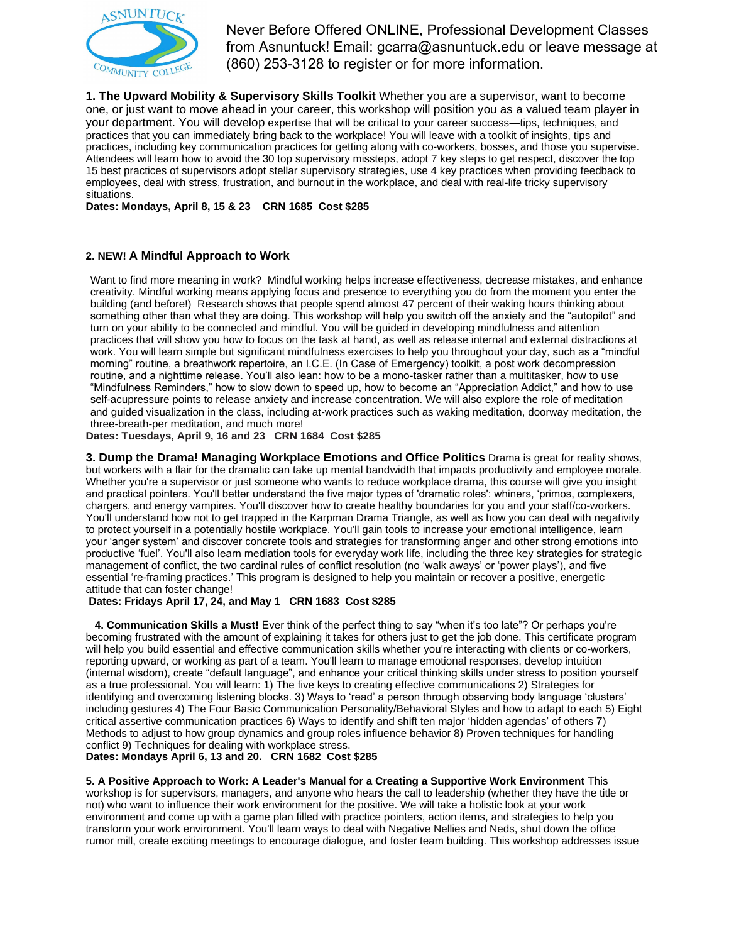

Never Before Offered ONLINE, Professional Development Classes from Asnuntuck! Email: gcarra@asnuntuck.edu or leave message at (860) 253-3128 to register or for more information.

**1. The Upward Mobility & Supervisory Skills Toolkit** Whether you are a supervisor, want to become one, or just want to move ahead in your career, this workshop will position you as a valued team player in your department. You will develop expertise that will be critical to your career success—tips, techniques, and practices that you can immediately bring back to the workplace! You will leave with a toolkit of insights, tips and practices, including key communication practices for getting along with co-workers, bosses, and those you supervise. Attendees will learn how to avoid the 30 top supervisory missteps, adopt 7 key steps to get respect, discover the top 15 best practices of supervisors adopt stellar supervisory strategies, use 4 key practices when providing feedback to employees, deal with stress, frustration, and burnout in the workplace, and deal with real-life tricky supervisory situations.

**Dates: Mondays, April 8, 15 & 23 CRN 1685 Cost \$285**

# **2. NEW! A Mindful Approach to Work**

Want to find more meaning in work? Mindful working helps increase effectiveness, decrease mistakes, and enhance creativity. Mindful working means applying focus and presence to everything you do from the moment you enter the building (and before!) Research shows that people spend almost 47 percent of their waking hours thinking about something other than what they are doing. This workshop will help you switch off the anxiety and the "autopilot" and turn on your ability to be connected and mindful. You will be guided in developing mindfulness and attention practices that will show you how to focus on the task at hand, as well as release internal and external distractions at work. You will learn simple but significant mindfulness exercises to help you throughout your day, such as a "mindful morning" routine, a breathwork repertoire, an I.C.E. (In Case of Emergency) toolkit, a post work decompression routine, and a nighttime release. You'll also lean: how to be a mono-tasker rather than a multitasker, how to use "Mindfulness Reminders," how to slow down to speed up, how to become an "Appreciation Addict," and how to use self-acupressure points to release anxiety and increase concentration. We will also explore the role of meditation and guided visualization in the class, including at-work practices such as waking meditation, doorway meditation, the three-breath-per meditation, and much more!

**Dates: Tuesdays, April 9, 16 and 23 CRN 1684 Cost \$285**

**3. Dump the Drama! Managing Workplace Emotions and Office Politics** Drama is great for reality shows, but workers with a flair for the dramatic can take up mental bandwidth that impacts productivity and employee morale. Whether you're a supervisor or just someone who wants to reduce workplace drama, this course will give you insight and practical pointers. You'll better understand the five major types of 'dramatic roles': whiners, 'primos, complexers, chargers, and energy vampires. You'll discover how to create healthy boundaries for you and your staff/co-workers. You'll understand how not to get trapped in the Karpman Drama Triangle, as well as how you can deal with negativity to protect yourself in a potentially hostile workplace. You'll gain tools to increase your emotional intelligence, learn your 'anger system' and discover concrete tools and strategies for transforming anger and other strong emotions into productive 'fuel'. You'll also learn mediation tools for everyday work life, including the three key strategies for strategic management of conflict, the two cardinal rules of conflict resolution (no 'walk aways' or 'power plays'), and five essential 're-framing practices.' This program is designed to help you maintain or recover a positive, energetic attitude that can foster change!

# **Dates: Fridays April 17, 24, and May 1 CRN 1683 Cost \$285**

**4. Communication Skills a Must!** Ever think of the perfect thing to say "when it's too late"? Or perhaps you're becoming frustrated with the amount of explaining it takes for others just to get the job done. This certificate program will help you build essential and effective communication skills whether you're interacting with clients or co-workers, reporting upward, or working as part of a team. You'll learn to manage emotional responses, develop intuition (internal wisdom), create "default language", and enhance your critical thinking skills under stress to position yourself as a true professional. You will learn: 1) The five keys to creating effective communications 2) Strategies for identifying and overcoming listening blocks. 3) Ways to 'read' a person through observing body language 'clusters' including gestures 4) The Four Basic Communication Personality/Behavioral Styles and how to adapt to each 5) Eight critical assertive communication practices 6) Ways to identify and shift ten major 'hidden agendas' of others 7) Methods to adjust to how group dynamics and group roles influence behavior 8) Proven techniques for handling conflict 9) Techniques for dealing with workplace stress.

**Dates: Mondays April 6, 13 and 20. CRN 1682 Cost \$285**

**5. A Positive Approach to Work: A Leader's Manual for a Creating a Supportive Work Environment** This workshop is for supervisors, managers, and anyone who hears the call to leadership (whether they have the title or not) who want to influence their work environment for the positive. We will take a holistic look at your work environment and come up with a game plan filled with practice pointers, action items, and strategies to help you transform your work environment. You'll learn ways to deal with Negative Nellies and Neds, shut down the office rumor mill, create exciting meetings to encourage dialogue, and foster team building. This workshop addresses issue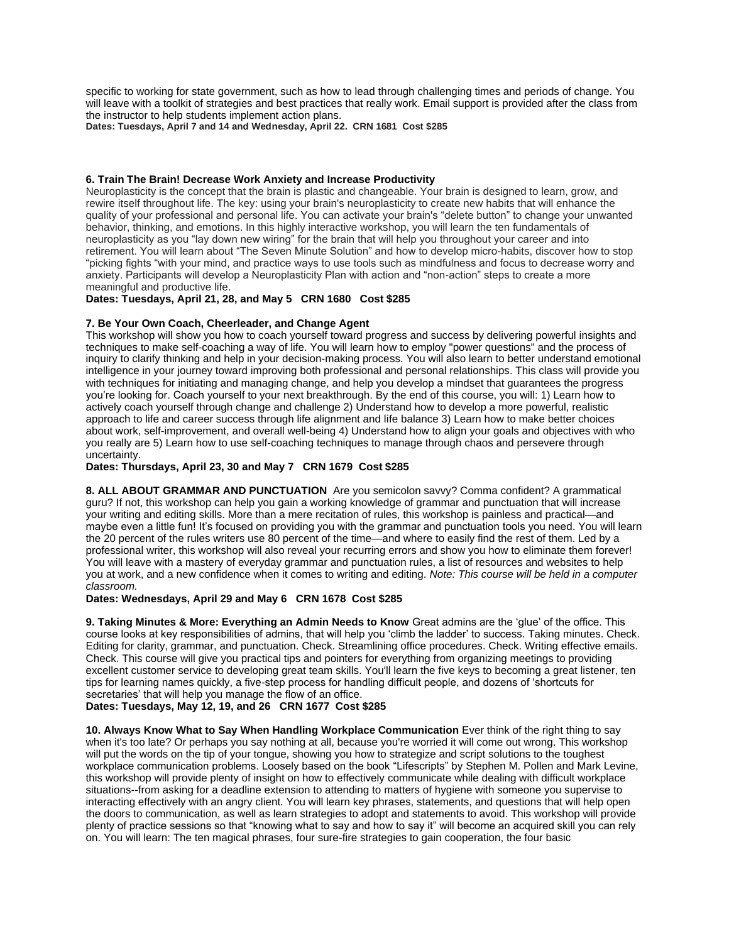specific to working for state government, such as how to lead through challenging times and periods of change. You will leave with a toolkit of strategies and best practices that really work. Email support is provided after the class from the instructor to help students implement action plans.

**Dates: Tuesdays, April 7 and 14 and Wednesday, April 22. CRN 1681 Cost \$285**

### **6. Train The Brain! Decrease Work Anxiety and Increase Productivity**

Neuroplasticity is the concept that the brain is plastic and changeable. Your brain is designed to learn, grow, and rewire itself throughout life. The key: using your brain's neuroplasticity to create new habits that will enhance the quality of your professional and personal life. You can activate your brain's "delete button" to change your unwanted behavior, thinking, and emotions. In this highly interactive workshop, you will learn the ten fundamentals of neuroplasticity as you "lay down new wiring" for the brain that will help you throughout your career and into retirement. You will learn about "The Seven Minute Solution" and how to develop micro-habits, discover how to stop "picking fights "with your mind, and practice ways to use tools such as mindfulness and focus to decrease worry and anxiety. Participants will develop a Neuroplasticity Plan with action and "non-action" steps to create a more meaningful and productive life.

## **Dates: Tuesdays, April 21, 28, and May 5 CRN 1680 Cost \$285**

## **7. Be Your Own Coach, Cheerleader, and Change Agent**

This workshop will show you how to coach yourself toward progress and success by delivering powerful insights and techniques to make self-coaching a way of life. You will learn how to employ "power questions" and the process of inquiry to clarify thinking and help in your decision-making process. You will also learn to better understand emotional intelligence in your journey toward improving both professional and personal relationships. This class will provide you with techniques for initiating and managing change, and help you develop a mindset that guarantees the progress you're looking for. Coach yourself to your next breakthrough. By the end of this course, you will: 1) Learn how to actively coach yourself through change and challenge 2) Understand how to develop a more powerful, realistic approach to life and career success through life alignment and life balance 3) Learn how to make better choices about work, self-improvement, and overall well-being 4) Understand how to align your goals and objectives with who you really are 5) Learn how to use self-coaching techniques to manage through chaos and persevere through uncertainty.

## **Dates: Thursdays, April 23, 30 and May 7 CRN 1679 Cost \$285**

**8. ALL ABOUT GRAMMAR AND PUNCTUATION** Are you semicolon savvy? Comma confident? A grammatical guru? If not, this workshop can help you gain a working knowledge of grammar and punctuation that will increase your writing and editing skills. More than a mere recitation of rules, this workshop is painless and practical—and maybe even a little fun! It's focused on providing you with the grammar and punctuation tools you need. You will learn the 20 percent of the rules writers use 80 percent of the time—and where to easily find the rest of them. Led by a professional writer, this workshop will also reveal your recurring errors and show you how to eliminate them forever! You will leave with a mastery of everyday grammar and punctuation rules, a list of resources and websites to help you at work, and a new confidence when it comes to writing and editing. *Note: This course will be held in a computer classroom.*

#### **Dates: Wednesdays, April 29 and May 6 CRN 1678 Cost \$285**

**9. Taking Minutes & More: Everything an Admin Needs to Know** Great admins are the 'glue' of the office. This course looks at key responsibilities of admins, that will help you 'climb the ladder' to success. Taking minutes. Check. Editing for clarity, grammar, and punctuation. Check. Streamlining office procedures. Check. Writing effective emails. Check. This course will give you practical tips and pointers for everything from organizing meetings to providing excellent customer service to developing great team skills. You'll learn the five keys to becoming a great listener, ten tips for learning names quickly, a five-step process for handling difficult people, and dozens of 'shortcuts for secretaries' that will help you manage the flow of an office.

## **Dates: Tuesdays, May 12, 19, and 26 CRN 1677 Cost \$285**

**10. Always Know What to Say When Handling Workplace Communication** Ever think of the right thing to say when it's too late? Or perhaps you say nothing at all, because you're worried it will come out wrong. This workshop will put the words on the tip of your tongue, showing you how to strategize and script solutions to the toughest workplace communication problems. Loosely based on the book "Lifescripts" by Stephen M. Pollen and Mark Levine, this workshop will provide plenty of insight on how to effectively communicate while dealing with difficult workplace situations--from asking for a deadline extension to attending to matters of hygiene with someone you supervise to interacting effectively with an angry client. You will learn key phrases, statements, and questions that will help open the doors to communication, as well as learn strategies to adopt and statements to avoid. This workshop will provide plenty of practice sessions so that "knowing what to say and how to say it" will become an acquired skill you can rely on. You will learn: The ten magical phrases, four sure-fire strategies to gain cooperation, the four basic